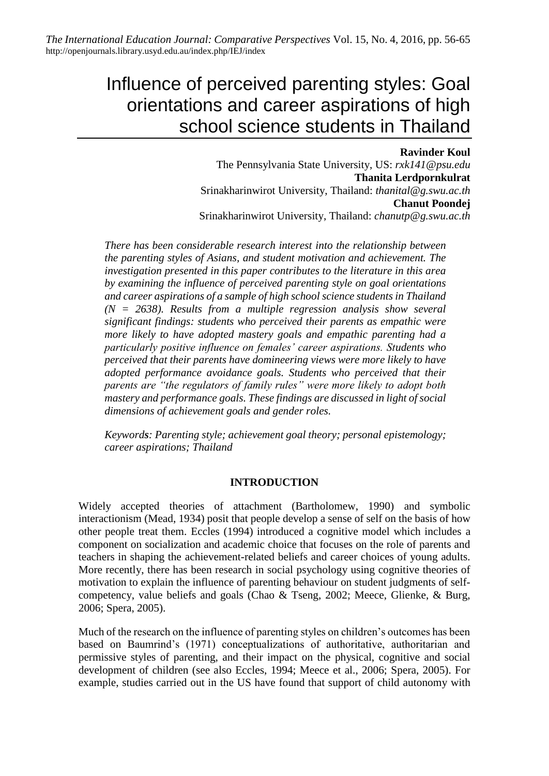# Influence of perceived parenting styles: Goal orientations and career aspirations of high school science students in Thailand

## **Ravinder Koul**

The Pennsylvania State University, US: *rxk141@psu.edu* **Thanita Lerdpornkulrat** Srinakharinwirot University, Thailand: *thanital@g.swu.ac.th* **Chanut Poondej** Srinakharinwirot University, Thailand: *chanutp@g.swu.ac.th*

*There has been considerable research interest into the relationship between the parenting styles of Asians, and student motivation and achievement. The investigation presented in this paper contributes to the literature in this area by examining the influence of perceived parenting style on goal orientations and career aspirations of a sample of high school science students in Thailand (N = 2638). Results from a multiple regression analysis show several significant findings: students who perceived their parents as empathic were more likely to have adopted mastery goals and empathic parenting had a particularly positive influence on females' career aspirations. Students who perceived that their parents have domineering views were more likely to have adopted performance avoidance goals. Students who perceived that their parents are "the regulators of family rules" were more likely to adopt both mastery and performance goals. These findings are discussed in light of social dimensions of achievement goals and gender roles.*

*Keywords: Parenting style; achievement goal theory; personal epistemology; career aspirations; Thailand*

## **INTRODUCTION**

Widely accepted theories of attachment (Bartholomew, 1990) and symbolic interactionism (Mead, 1934) posit that people develop a sense of self on the basis of how other people treat them. Eccles (1994) introduced a cognitive model which includes a component on socialization and academic choice that focuses on the role of parents and teachers in shaping the achievement-related beliefs and career choices of young adults. More recently, there has been research in social psychology using cognitive theories of motivation to explain the influence of parenting behaviour on student judgments of selfcompetency, value beliefs and goals (Chao & Tseng, 2002; Meece, Glienke, & Burg, 2006; Spera, 2005).

Much of the research on the influence of parenting styles on children's outcomes has been based on Baumrind's (1971) conceptualizations of authoritative, authoritarian and permissive styles of parenting, and their impact on the physical, cognitive and social development of children (see also Eccles, 1994; Meece et al., 2006; Spera, 2005). For example, studies carried out in the US have found that support of child autonomy with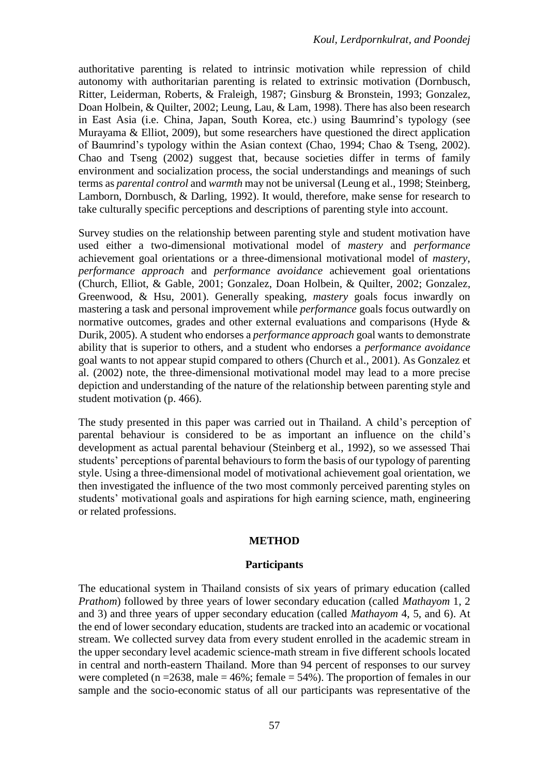authoritative parenting is related to intrinsic motivation while repression of child autonomy with authoritarian parenting is related to extrinsic motivation (Dornbusch, Ritter, Leiderman, Roberts, & Fraleigh, 1987; Ginsburg & Bronstein, 1993; Gonzalez, Doan Holbein, & Quilter, 2002; Leung, Lau, & Lam, 1998). There has also been research in East Asia (i.e. China, Japan, South Korea, etc.) using Baumrind's typology (see Murayama & Elliot, 2009), but some researchers have questioned the direct application of Baumrind's typology within the Asian context (Chao, 1994; Chao & Tseng, 2002). Chao and Tseng (2002) suggest that, because societies differ in terms of family environment and socialization process, the social understandings and meanings of such terms as *parental control* and *warmth* may not be universal (Leung et al., 1998; Steinberg, Lamborn, Dornbusch, & Darling, 1992). It would, therefore, make sense for research to take culturally specific perceptions and descriptions of parenting style into account.

Survey studies on the relationship between parenting style and student motivation have used either a two-dimensional motivational model of *mastery* and *performance* achievement goal orientations or a three-dimensional motivational model of *mastery*, *performance approach* and *performance avoidance* achievement goal orientations (Church, Elliot, & Gable, 2001; Gonzalez, Doan Holbein, & Quilter, 2002; Gonzalez, Greenwood, & Hsu, 2001). Generally speaking, *mastery* goals focus inwardly on mastering a task and personal improvement while *performance* goals focus outwardly on normative outcomes, grades and other external evaluations and comparisons (Hyde & Durik, 2005). A student who endorses a *performance approach* goal wants to demonstrate ability that is superior to others, and a student who endorses a *performance avoidance* goal wants to not appear stupid compared to others (Church et al., 2001). As Gonzalez et al. (2002) note, the three-dimensional motivational model may lead to a more precise depiction and understanding of the nature of the relationship between parenting style and student motivation (p. 466).

The study presented in this paper was carried out in Thailand. A child's perception of parental behaviour is considered to be as important an influence on the child's development as actual parental behaviour (Steinberg et al., 1992), so we assessed Thai students' perceptions of parental behaviours to form the basis of our typology of parenting style. Using a three-dimensional model of motivational achievement goal orientation, we then investigated the influence of the two most commonly perceived parenting styles on students' motivational goals and aspirations for high earning science, math, engineering or related professions.

## **METHOD**

## **Participants**

The educational system in Thailand consists of six years of primary education (called *Prathom*) followed by three years of lower secondary education (called *Mathayom* 1, 2 and 3) and three years of upper secondary education (called *Mathayom* 4, 5, and 6). At the end of lower secondary education, students are tracked into an academic or vocational stream. We collected survey data from every student enrolled in the academic stream in the upper secondary level academic science-math stream in five different schools located in central and north-eastern Thailand. More than 94 percent of responses to our survey were completed (n =  $2638$ , male =  $46\%$ ; female =  $54\%$ ). The proportion of females in our sample and the socio-economic status of all our participants was representative of the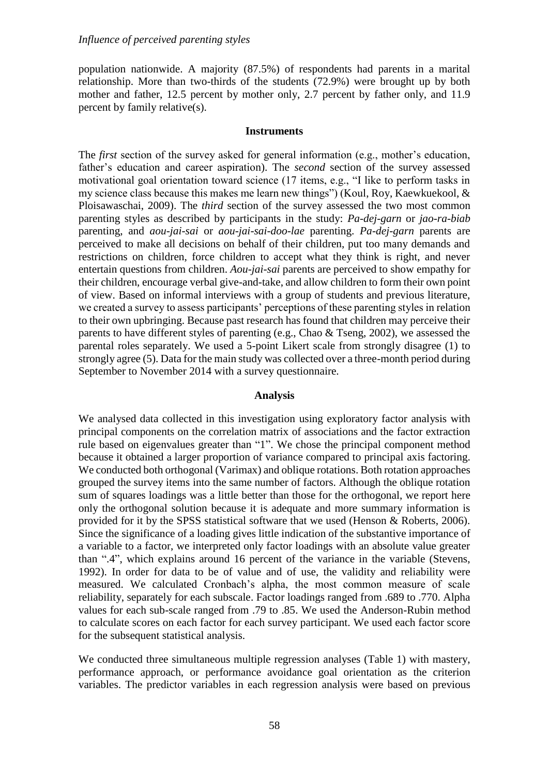population nationwide. A majority (87.5%) of respondents had parents in a marital relationship. More than two-thirds of the students (72.9%) were brought up by both mother and father, 12.5 percent by mother only, 2.7 percent by father only, and 11.9 percent by family relative(s).

#### **Instruments**

The *first* section of the survey asked for general information (e.g., mother's education, father's education and career aspiration). The *second* section of the survey assessed motivational goal orientation toward science (17 items, e.g., "I like to perform tasks in my science class because this makes me learn new things") (Koul, Roy, Kaewkuekool, & Ploisawaschai, 2009). The *third* section of the survey assessed the two most common parenting styles as described by participants in the study: *Pa-dej-garn* or *jao-ra-biab* parenting, and *aou-jai-sai* or *aou-jai-sai-doo-lae* parenting. *Pa-dej-garn* parents are perceived to make all decisions on behalf of their children, put too many demands and restrictions on children, force children to accept what they think is right, and never entertain questions from children. *Aou-jai-sai* parents are perceived to show empathy for their children, encourage verbal give-and-take, and allow children to form their own point of view. Based on informal interviews with a group of students and previous literature, we created a survey to assess participants' perceptions of these parenting styles in relation to their own upbringing. Because past research has found that children may perceive their parents to have different styles of parenting (e.g., Chao & Tseng, 2002), we assessed the parental roles separately. We used a 5-point Likert scale from strongly disagree (1) to strongly agree (5). Data for the main study was collected over a three-month period during September to November 2014 with a survey questionnaire.

## **Analysis**

We analysed data collected in this investigation using exploratory factor analysis with principal components on the correlation matrix of associations and the factor extraction rule based on eigenvalues greater than "1". We chose the principal component method because it obtained a larger proportion of variance compared to principal axis factoring. We conducted both orthogonal (Varimax) and oblique rotations. Both rotation approaches grouped the survey items into the same number of factors. Although the oblique rotation sum of squares loadings was a little better than those for the orthogonal, we report here only the orthogonal solution because it is adequate and more summary information is provided for it by the SPSS statistical software that we used (Henson & Roberts, 2006). Since the significance of a loading gives little indication of the substantive importance of a variable to a factor, we interpreted only factor loadings with an absolute value greater than ".4", which explains around 16 percent of the variance in the variable (Stevens, 1992). In order for data to be of value and of use, the validity and reliability were measured. We calculated Cronbach's alpha, the most common measure of scale reliability, separately for each subscale. Factor loadings ranged from .689 to .770. Alpha values for each sub-scale ranged from .79 to .85. We used the Anderson-Rubin method to calculate scores on each factor for each survey participant. We used each factor score for the subsequent statistical analysis.

We conducted three simultaneous multiple regression analyses (Table 1) with mastery, performance approach, or performance avoidance goal orientation as the criterion variables. The predictor variables in each regression analysis were based on previous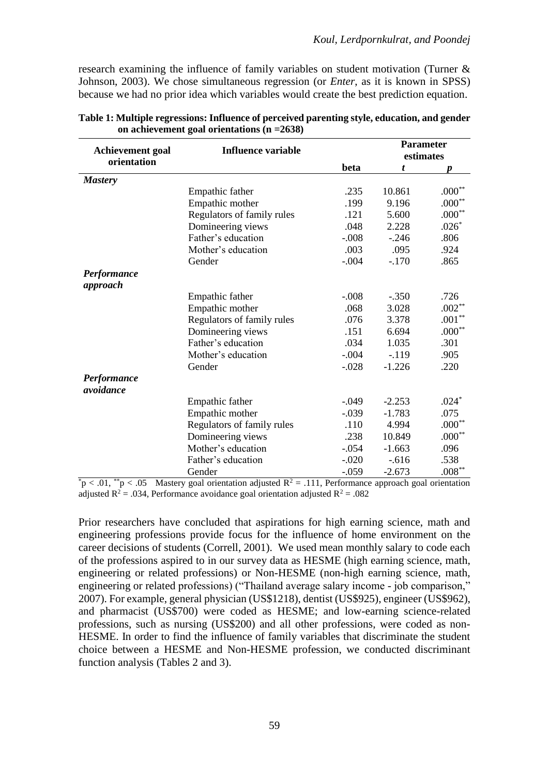research examining the influence of family variables on student motivation (Turner & Johnson, 2003). We chose simultaneous regression (or *Enter*, as it is known in SPSS) because we had no prior idea which variables would create the best prediction equation.

| <b>Achievement</b> goal  | <b>Influence variable</b>  |         | <b>Parameter</b> |          |  |
|--------------------------|----------------------------|---------|------------------|----------|--|
| orientation              |                            |         | estimates        |          |  |
|                          |                            | beta    | t                | D        |  |
| <b>Mastery</b>           |                            |         |                  |          |  |
|                          | Empathic father            | .235    | 10.861           | $.000**$ |  |
|                          | Empathic mother            | .199    | 9.196            | $.000**$ |  |
|                          | Regulators of family rules | .121    | 5.600            | $.000**$ |  |
|                          | Domineering views          | .048    | 2.228            | $.026*$  |  |
|                          | Father's education         | $-.008$ | $-.246$          | .806     |  |
|                          | Mother's education         | .003    | .095             | .924     |  |
|                          | Gender                     | $-.004$ | $-.170$          | .865     |  |
| Performance              |                            |         |                  |          |  |
| approach                 |                            |         |                  |          |  |
|                          | Empathic father            | $-.008$ | $-.350$          | .726     |  |
|                          | Empathic mother            | .068    | 3.028            | $.002**$ |  |
|                          | Regulators of family rules | .076    | 3.378            | $.001**$ |  |
|                          | Domineering views          | .151    | 6.694            | $.000**$ |  |
|                          | Father's education         | .034    | 1.035            | .301     |  |
|                          | Mother's education         | $-.004$ | $-.119$          | .905     |  |
|                          | Gender                     | $-.028$ | $-1.226$         | .220     |  |
| Performance<br>avoidance |                            |         |                  |          |  |
|                          | Empathic father            | $-.049$ | $-2.253$         | $.024*$  |  |
|                          | Empathic mother            | $-.039$ | $-1.783$         | .075     |  |
|                          | Regulators of family rules | .110    | 4.994            | $.000**$ |  |
|                          | Domineering views          | .238    | 10.849           | $.000**$ |  |
|                          | Mother's education         | $-.054$ | $-1.663$         | .096     |  |
|                          | Father's education         | $-.020$ | $-0.616$         | .538     |  |
|                          |                            |         |                  |          |  |
|                          | Gender                     | $-.059$ | $-2.673$         | $.008**$ |  |

| Table 1: Multiple regressions: Influence of perceived parenting style, education, and gender |  |
|----------------------------------------------------------------------------------------------|--|
| on achievement goal orientations ( $n = 2638$ )                                              |  |

 $p < .01$ ,  $p < .05$  Mastery goal orientation adjusted  $R^2 = .111$ , Performance approach goal orientation adjusted  $R^2$  = .034, Performance avoidance goal orientation adjusted  $R^2$  = .082

Prior researchers have concluded that aspirations for high earning science, math and engineering professions provide focus for the influence of home environment on the career decisions of students (Correll, 2001). We used mean monthly salary to code each of the professions aspired to in our survey data as HESME (high earning science, math, engineering or related professions) or Non-HESME (non-high earning science, math, engineering or related professions) ("Thailand average salary income - job comparison," 2007). For example, general physician (US\$1218), dentist (US\$925), engineer (US\$962), and pharmacist (US\$700) were coded as HESME; and low-earning science-related professions, such as nursing (US\$200) and all other professions, were coded as non-HESME. In order to find the influence of family variables that discriminate the student choice between a HESME and Non-HESME profession, we conducted discriminant function analysis (Tables 2 and 3).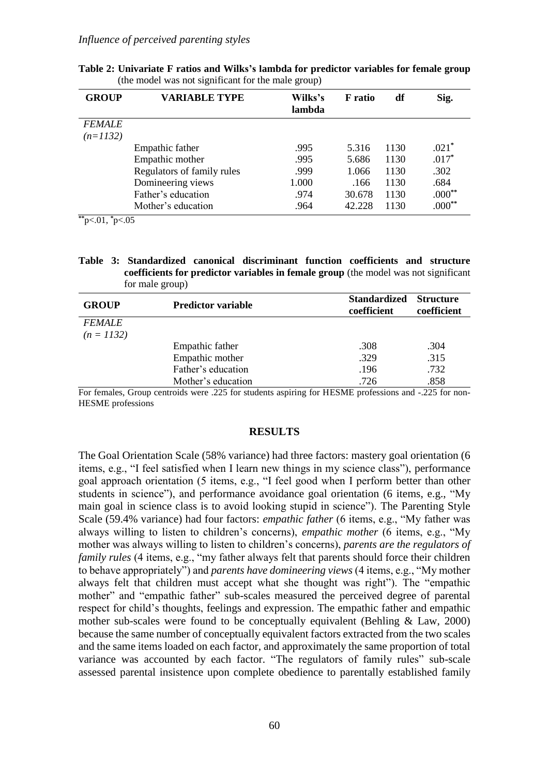#### *Influence of perceived parenting styles*

| <b>GROUP</b>  | <b>VARIABLE TYPE</b>       | Wilks's<br>lambda | <b>F</b> ratio | df   | Sig.     |
|---------------|----------------------------|-------------------|----------------|------|----------|
| <b>FEMALE</b> |                            |                   |                |      |          |
| $(n=1132)$    |                            |                   |                |      |          |
|               | Empathic father            | .995              | 5.316          | 1130 | $.021*$  |
|               | Empathic mother            | .995              | 5.686          | 1130 | $.017*$  |
|               | Regulators of family rules | .999              | 1.066          | 1130 | .302     |
|               | Domineering views          | 1.000             | .166           | 1130 | .684     |
|               | Father's education         | .974              | 30.678         | 1130 | $.000**$ |
|               | Mother's education         | .964              | 42.228         | 1130 | $.000**$ |

**Table 2: Univariate F ratios and Wilks's lambda for predictor variables for female group**  (the model was not significant for the male group)

**\*\***p<.01, **\***p<.05

**Table 3: Standardized canonical discriminant function coefficients and structure coefficients for predictor variables in female group** (the model was not significant for male group)

| <b>GROUP</b>  | <b>Predictor variable</b> | <b>Standardized</b><br>coefficient | <b>Structure</b><br>coefficient |
|---------------|---------------------------|------------------------------------|---------------------------------|
| <b>FEMALE</b> |                           |                                    |                                 |
| $(n = 1132)$  |                           |                                    |                                 |
|               | Empathic father           | .308                               | .304                            |
|               | Empathic mother           | .329                               | .315                            |
|               | Father's education        | .196                               | .732                            |
|               | Mother's education        | .726                               | .858                            |

For females, Group centroids were .225 for students aspiring for HESME professions and -.225 for non-HESME professions

#### **RESULTS**

The Goal Orientation Scale (58% variance) had three factors: mastery goal orientation (6 items, e.g., "I feel satisfied when I learn new things in my science class"), performance goal approach orientation (5 items, e.g., "I feel good when I perform better than other students in science"), and performance avoidance goal orientation (6 items, e.g., "My main goal in science class is to avoid looking stupid in science"). The Parenting Style Scale (59.4% variance) had four factors: *empathic father* (6 items, e.g., "My father was always willing to listen to children's concerns), *empathic mother* (6 items, e.g., "My mother was always willing to listen to children's concerns), *parents are the regulators of family rules* (4 items, e.g., "my father always felt that parents should force their children to behave appropriately") and *parents have domineering views* (4 items, e.g., "My mother always felt that children must accept what she thought was right"). The "empathic mother" and "empathic father" sub-scales measured the perceived degree of parental respect for child's thoughts, feelings and expression. The empathic father and empathic mother sub-scales were found to be conceptually equivalent (Behling & Law, 2000) because the same number of conceptually equivalent factors extracted from the two scales and the same items loaded on each factor, and approximately the same proportion of total variance was accounted by each factor. "The regulators of family rules" sub-scale assessed parental insistence upon complete obedience to parentally established family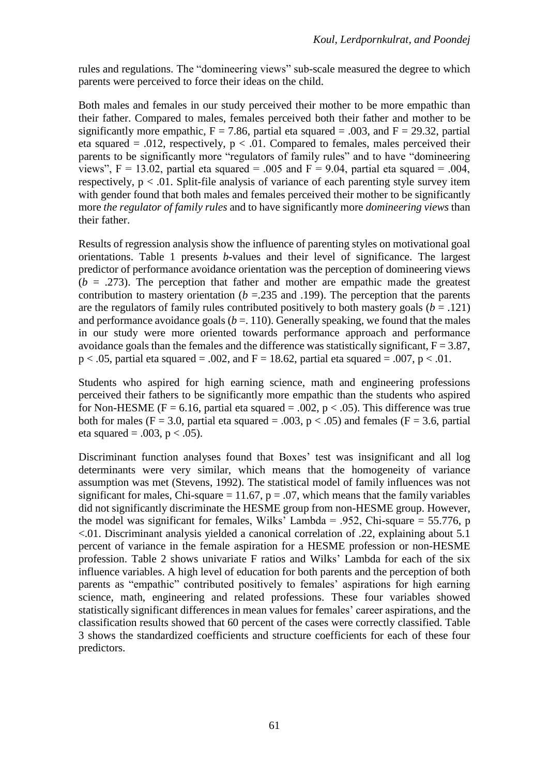rules and regulations. The "domineering views" sub-scale measured the degree to which parents were perceived to force their ideas on the child.

Both males and females in our study perceived their mother to be more empathic than their father. Compared to males, females perceived both their father and mother to be significantly more empathic,  $F = 7.86$ , partial eta squared = .003, and  $F = 29.32$ , partial eta squared = .012, respectively,  $p < .01$ . Compared to females, males perceived their parents to be significantly more "regulators of family rules" and to have "domineering views",  $F = 13.02$ , partial eta squared = .005 and  $F = 9.04$ , partial eta squared = .004, respectively,  $p < 0.01$ . Split-file analysis of variance of each parenting style survey item with gender found that both males and females perceived their mother to be significantly more *the regulator of family rules* and to have significantly more *domineering views* than their father.

Results of regression analysis show the influence of parenting styles on motivational goal orientations. Table 1 presents *b*-values and their level of significance. The largest predictor of performance avoidance orientation was the perception of domineering views  $(b = .273)$ . The perception that father and mother are empathic made the greatest contribution to mastery orientation ( $b = 235$  and .199). The perception that the parents are the regulators of family rules contributed positively to both mastery goals  $(b = .121)$ and performance avoidance goals  $(b = 110)$ . Generally speaking, we found that the males in our study were more oriented towards performance approach and performance avoidance goals than the females and the difference was statistically significant,  $F = 3.87$ ,  $p < .05$ , partial eta squared = .002, and F = 18.62, partial eta squared = .007, p < .01.

Students who aspired for high earning science, math and engineering professions perceived their fathers to be significantly more empathic than the students who aspired for Non-HESME (F = 6.16, partial eta squared = .002,  $p < .05$ ). This difference was true both for males (F = 3.0, partial eta squared = .003,  $p < .05$ ) and females (F = 3.6, partial eta squared = .003,  $p < .05$ ).

Discriminant function analyses found that Boxes' test was insignificant and all log determinants were very similar, which means that the homogeneity of variance assumption was met (Stevens, 1992). The statistical model of family influences was not significant for males, Chi-square = 11.67,  $p = .07$ , which means that the family variables did not significantly discriminate the HESME group from non-HESME group. However, the model was significant for females, Wilks' Lambda = .952, Chi-square = 55.776, p <.01. Discriminant analysis yielded a canonical correlation of .22, explaining about 5.1 percent of variance in the female aspiration for a HESME profession or non-HESME profession. Table 2 shows univariate F ratios and Wilks' Lambda for each of the six influence variables. A high level of education for both parents and the perception of both parents as "empathic" contributed positively to females' aspirations for high earning science, math, engineering and related professions. These four variables showed statistically significant differences in mean values for females' career aspirations, and the classification results showed that 60 percent of the cases were correctly classified. Table 3 shows the standardized coefficients and structure coefficients for each of these four predictors.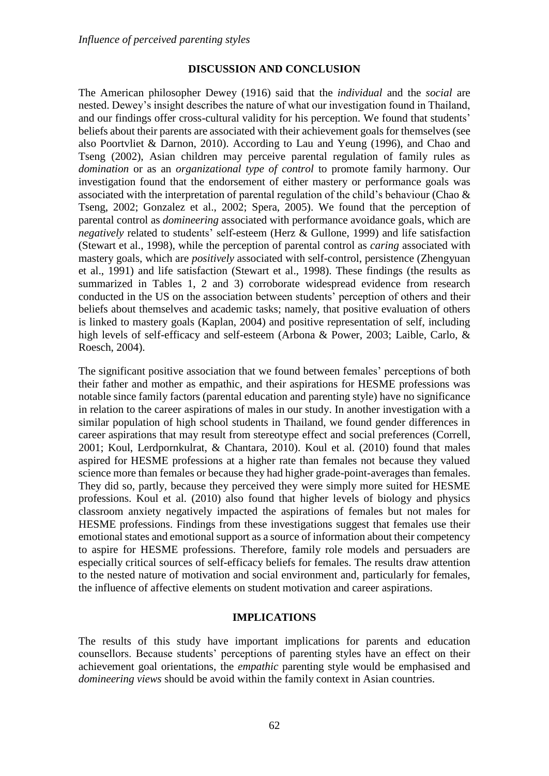## **DISCUSSION AND CONCLUSION**

The American philosopher Dewey (1916) said that the *individual* and the *social* are nested. Dewey's insight describes the nature of what our investigation found in Thailand, and our findings offer cross-cultural validity for his perception. We found that students' beliefs about their parents are associated with their achievement goals for themselves (see also Poortvliet & Darnon, 2010). According to Lau and Yeung (1996), and Chao and Tseng (2002), Asian children may perceive parental regulation of family rules as *domination* or as an *organizational type of control* to promote family harmony. Our investigation found that the endorsement of either mastery or performance goals was associated with the interpretation of parental regulation of the child's behaviour (Chao & Tseng, 2002; Gonzalez et al., 2002; Spera, 2005). We found that the perception of parental control as *domineering* associated with performance avoidance goals, which are *negatively* related to students' self-esteem (Herz & Gullone, 1999) and life satisfaction (Stewart et al., 1998), while the perception of parental control as *caring* associated with mastery goals, which are *positively* associated with self-control, persistence (Zhengyuan et al., 1991) and life satisfaction (Stewart et al., 1998). These findings (the results as summarized in Tables 1, 2 and 3) corroborate widespread evidence from research conducted in the US on the association between students' perception of others and their beliefs about themselves and academic tasks; namely, that positive evaluation of others is linked to mastery goals (Kaplan, 2004) and positive representation of self, including high levels of self-efficacy and self-esteem (Arbona & Power, 2003; Laible, Carlo, & Roesch, 2004).

The significant positive association that we found between females' perceptions of both their father and mother as empathic, and their aspirations for HESME professions was notable since family factors (parental education and parenting style) have no significance in relation to the career aspirations of males in our study. In another investigation with a similar population of high school students in Thailand, we found gender differences in career aspirations that may result from stereotype effect and social preferences (Correll, 2001; Koul, Lerdpornkulrat, & Chantara, 2010). Koul et al. (2010) found that males aspired for HESME professions at a higher rate than females not because they valued science more than females or because they had higher grade-point-averages than females. They did so, partly, because they perceived they were simply more suited for HESME professions. Koul et al. (2010) also found that higher levels of biology and physics classroom anxiety negatively impacted the aspirations of females but not males for HESME professions. Findings from these investigations suggest that females use their emotional states and emotional support as a source of information about their competency to aspire for HESME professions. Therefore, family role models and persuaders are especially critical sources of self-efficacy beliefs for females. The results draw attention to the nested nature of motivation and social environment and, particularly for females, the influence of affective elements on student motivation and career aspirations.

## **IMPLICATIONS**

The results of this study have important implications for parents and education counsellors. Because students' perceptions of parenting styles have an effect on their achievement goal orientations, the *empathic* parenting style would be emphasised and *domineering views* should be avoid within the family context in Asian countries.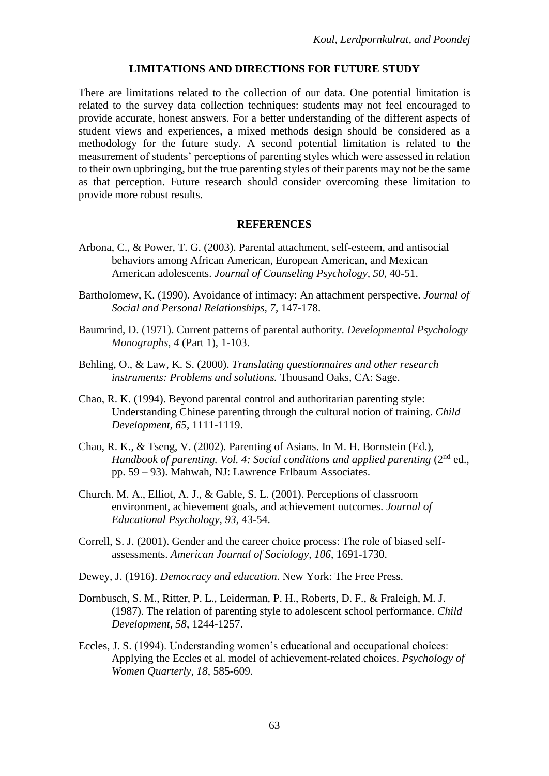### **LIMITATIONS AND DIRECTIONS FOR FUTURE STUDY**

There are limitations related to the collection of our data. One potential limitation is related to the survey data collection techniques: students may not feel encouraged to provide accurate, honest answers. For a better understanding of the different aspects of student views and experiences, a mixed methods design should be considered as a methodology for the future study. A second potential limitation is related to the measurement of students' perceptions of parenting styles which were assessed in relation to their own upbringing, but the true parenting styles of their parents may not be the same as that perception. Future research should consider overcoming these limitation to provide more robust results.

#### **REFERENCES**

- Arbona, C., & Power, T. G. (2003). Parental attachment, self-esteem, and antisocial behaviors among African American, European American, and Mexican American adolescents. *Journal of Counseling Psychology, 50,* 40-51.
- Bartholomew, K. (1990). Avoidance of intimacy: An attachment perspective. *Journal of Social and Personal Relationships, 7*, 147-178.
- Baumrind, D. (1971). Current patterns of parental authority. *Developmental Psychology Monographs*, *4* (Part 1), 1-103.
- Behling, O., & Law, K. S. (2000). *Translating questionnaires and other research instruments: Problems and solutions.* Thousand Oaks, CA: Sage.
- Chao, R. K. (1994). Beyond parental control and authoritarian parenting style: Understanding Chinese parenting through the cultural notion of training. *Child Development, 65*, 1111-1119.
- Chao, R. K., & Tseng, V. (2002). Parenting of Asians. In M. H. Bornstein (Ed.), Handbook of parenting. Vol. 4: Social conditions and applied parenting (2<sup>nd</sup> ed., pp. 59 – 93). Mahwah, NJ: Lawrence Erlbaum Associates.
- Church. M. A., Elliot, A. J., & Gable, S. L. (2001). Perceptions of classroom environment, achievement goals, and achievement outcomes. *Journal of Educational Psychology, 93*, 43-54.
- Correll, S. J. (2001). Gender and the career choice process: The role of biased selfassessments. *American Journal of Sociology, 106*, 1691-1730.
- Dewey, J. (1916). *Democracy and education*. New York: The Free Press.
- Dornbusch, S. M., Ritter, P. L., Leiderman, P. H., Roberts, D. F., & Fraleigh, M. J. (1987). The relation of parenting style to adolescent school performance. *Child Development, 58*, 1244-1257.
- Eccles, J. S. (1994). Understanding women's educational and occupational choices: Applying the Eccles et al. model of achievement-related choices. *Psychology of Women Quarterly, 18*, 585-609.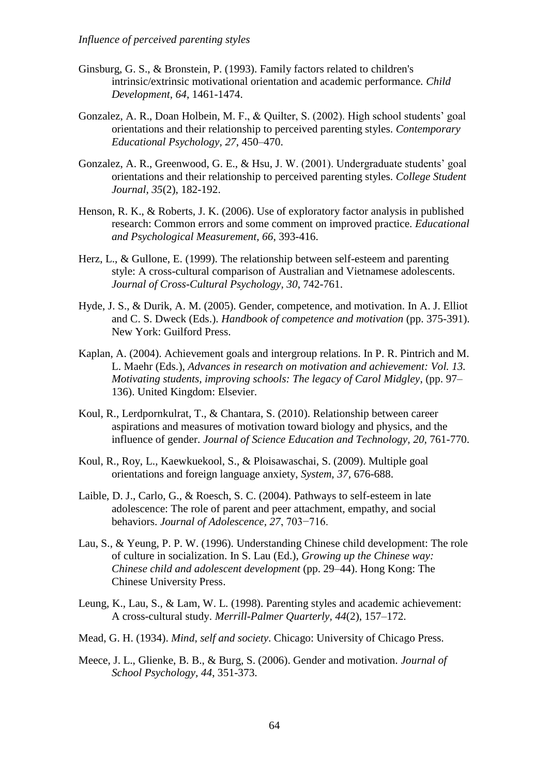- Ginsburg, G. S., & Bronstein, P. (1993). Family factors related to children's intrinsic/extrinsic motivational orientation and academic performance*. Child Development*, *64*, 1461-1474.
- Gonzalez, A. R., Doan Holbein, M. F., & Quilter, S. (2002). High school students' goal orientations and their relationship to perceived parenting styles. *Contemporary Educational Psychology, 27*, 450–470.
- Gonzalez, A. R., Greenwood, G. E., & Hsu, J. W. (2001). Undergraduate students' goal orientations and their relationship to perceived parenting styles. *College Student Journal, 35*(2), 182-192.
- Henson, R. K., & Roberts, J. K. (2006). Use of exploratory factor analysis in published research: Common errors and some comment on improved practice. *Educational and Psychological Measurement, 66*, 393-416.
- Herz, L., & Gullone, E. (1999). The relationship between self-esteem and parenting style: A cross-cultural comparison of Australian and Vietnamese adolescents. *Journal of Cross-Cultural Psychology, 30*, 742-761.
- Hyde, J. S., & Durik, A. M. (2005). Gender, competence, and motivation. In A. J. Elliot and C. S. Dweck (Eds.). *Handbook of competence and motivation* (pp. 375-391). New York: Guilford Press.
- Kaplan, A. (2004). Achievement goals and intergroup relations. In P. R. Pintrich and M. L. Maehr (Eds.), *Advances in research on motivation and achievement: Vol. 13. Motivating students, improving schools: The legacy of Carol Midgley*, (pp. 97– 136). United Kingdom: Elsevier.
- Koul, R., Lerdpornkulrat, T., & Chantara, S. (2010). Relationship between career aspirations and measures of motivation toward biology and physics, and the influence of gender. *Journal of Science Education and Technology, 20,* 761-770.
- Koul, R., Roy, L., Kaewkuekool, S., & Ploisawaschai, S. (2009). Multiple goal orientations and foreign language anxiety, *System, 37,* 676-688.
- Laible, D. J., Carlo, G., & Roesch, S. C. (2004). Pathways to self-esteem in late adolescence: The role of parent and peer attachment, empathy, and social behaviors. *Journal of Adolescence, 27*, 703−716.
- Lau, S., & Yeung, P. P. W. (1996). Understanding Chinese child development: The role of culture in socialization. In S. Lau (Ed.), *Growing up the Chinese way: Chinese child and adolescent development* (pp. 29–44). Hong Kong: The Chinese University Press.
- Leung, K., Lau, S., & Lam, W. L. (1998). Parenting styles and academic achievement: A cross-cultural study. *Merrill-Palmer Quarterly, 44*(2), 157–172.
- Mead, G. H. (1934). *Mind, self and society*. Chicago: University of Chicago Press.
- Meece, J. L., Glienke, B. B., & Burg, S. (2006). Gender and motivation. *Journal of School Psychology, 44*, 351-373.